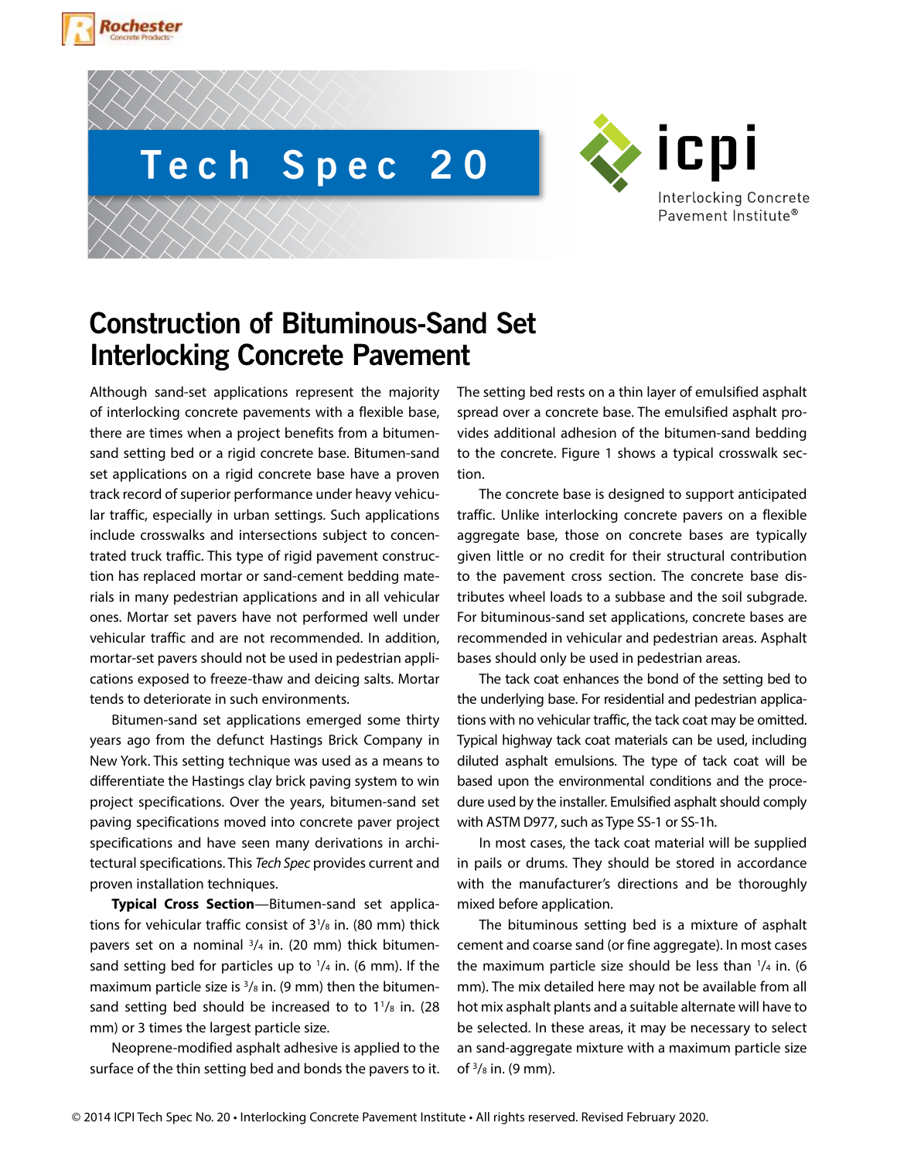





# **Construction of Bituminous-Sand Set Interlocking Concrete Pavement**

Although sand-set applications represent the majority of interlocking concrete pavements with a flexible base, there are times when a project benefits from a bitumensand setting bed or a rigid concrete base. Bitumen-sand set applications on a rigid concrete base have a proven track record of superior performance under heavy vehicular traffic, especially in urban settings. Such applications include crosswalks and intersections subject to concentrated truck traffic. This type of rigid pavement construction has replaced mortar or sand-cement bedding materials in many pedestrian applications and in all vehicular ones. Mortar set pavers have not performed well under vehicular traffic and are not recommended. In addition, mortar-set pavers should not be used in pedestrian applications exposed to freeze-thaw and deicing salts. Mortar tends to deteriorate in such environments.

Bitumen-sand set applications emerged some thirty years ago from the defunct Hastings Brick Company in New York. This setting technique was used as a means to differentiate the Hastings clay brick paving system to win project specifications. Over the years, bitumen-sand set paving specifications moved into concrete paver project specifications and have seen many derivations in architectural specifications. This *Tech Spec* provides current and proven installation techniques.

**Typical Cross Section**—Bitumen-sand set applications for vehicular traffic consist of 3<sup>1</sup>/<sub>8</sub> in. (80 mm) thick pavers set on a nominal  $3/4$  in. (20 mm) thick bitumensand setting bed for particles up to  $\frac{1}{4}$  in. (6 mm). If the maximum particle size is  $3/s$  in. (9 mm) then the bitumensand setting bed should be increased to to  $1\frac{1}{8}$  in. (28) mm) or 3 times the largest particle size.

Neoprene-modified asphalt adhesive is applied to the surface of the thin setting bed and bonds the pavers to it. The setting bed rests on a thin layer of emulsified asphalt spread over a concrete base. The emulsified asphalt provides additional adhesion of the bitumen-sand bedding to the concrete. Figure 1 shows a typical crosswalk section.

The concrete base is designed to support anticipated traffic. Unlike interlocking concrete pavers on a flexible aggregate base, those on concrete bases are typically given little or no credit for their structural contribution to the pavement cross section. The concrete base distributes wheel loads to a subbase and the soil subgrade. For bituminous-sand set applications, concrete bases are recommended in vehicular and pedestrian areas. Asphalt bases should only be used in pedestrian areas.

The tack coat enhances the bond of the setting bed to the underlying base. For residential and pedestrian applications with no vehicular traffic, the tack coat may be omitted. Typical highway tack coat materials can be used, including diluted asphalt emulsions. The type of tack coat will be based upon the environmental conditions and the procedure used by the installer. Emulsified asphalt should comply with ASTM D977, such as Type SS-1 or SS-1h.

In most cases, the tack coat material will be supplied in pails or drums. They should be stored in accordance with the manufacturer's directions and be thoroughly mixed before application.

The bituminous setting bed is a mixture of asphalt cement and coarse sand (or fine aggregate). In most cases the maximum particle size should be less than  $\frac{1}{4}$  in. (6) mm). The mix detailed here may not be available from all hot mix asphalt plants and a suitable alternate will have to be selected. In these areas, it may be necessary to select an sand-aggregate mixture with a maximum particle size of  $\frac{3}{8}$  in. (9 mm).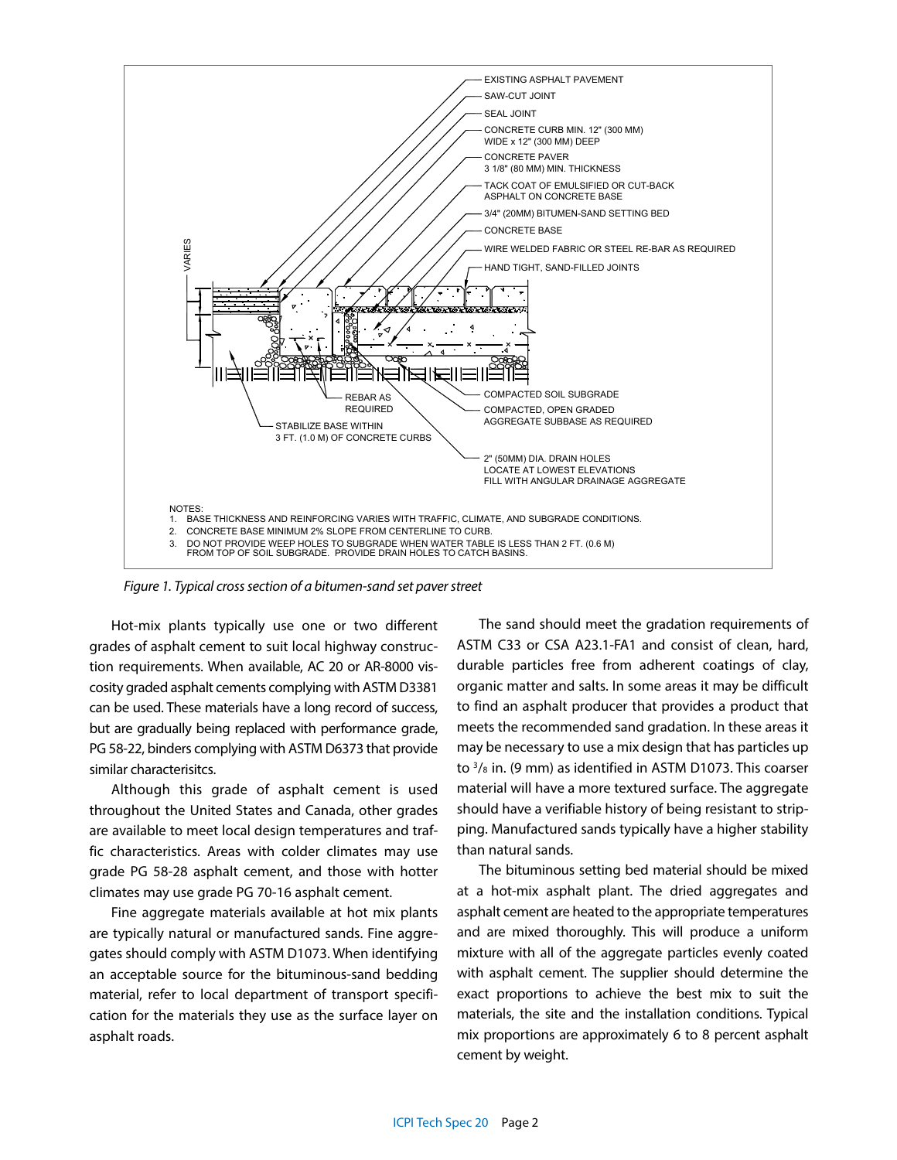

*Figure 1. Typical cross section of a bitumen-sand set paver street*

Hot-mix plants typically use one or two different grades of asphalt cement to suit local highway construction requirements. When available, AC 20 or AR-8000 viscosity graded asphalt cements complying with ASTM D3381 can be used. These materials have a long record of success, but are gradually being replaced with performance grade, PG 58-22, binders complying with ASTM D6373 that provide similar characterisitcs.

Although this grade of asphalt cement is used throughout the United States and Canada, other grades are available to meet local design temperatures and traffic characteristics. Areas with colder climates may use grade PG 58-28 asphalt cement, and those with hotter climates may use grade PG 70-16 asphalt cement.

Fine aggregate materials available at hot mix plants are typically natural or manufactured sands. Fine aggregates should comply with ASTM D1073. When identifying an acceptable source for the bituminous-sand bedding material, refer to local department of transport specification for the materials they use as the surface layer on asphalt roads.

The sand should meet the gradation requirements of ASTM C33 or CSA A23.1-FA1 and consist of clean, hard, durable particles free from adherent coatings of clay, organic matter and salts. In some areas it may be difficult to find an asphalt producer that provides a product that meets the recommended sand gradation. In these areas it may be necessary to use a mix design that has particles up to 3/8 in. (9 mm) as identified in ASTM D1073. This coarser material will have a more textured surface. The aggregate should have a verifiable history of being resistant to stripping. Manufactured sands typically have a higher stability than natural sands.

The bituminous setting bed material should be mixed at a hot-mix asphalt plant. The dried aggregates and asphalt cement are heated to the appropriate temperatures and are mixed thoroughly. This will produce a uniform mixture with all of the aggregate particles evenly coated with asphalt cement. The supplier should determine the exact proportions to achieve the best mix to suit the materials, the site and the installation conditions. Typical mix proportions are approximately 6 to 8 percent asphalt cement by weight.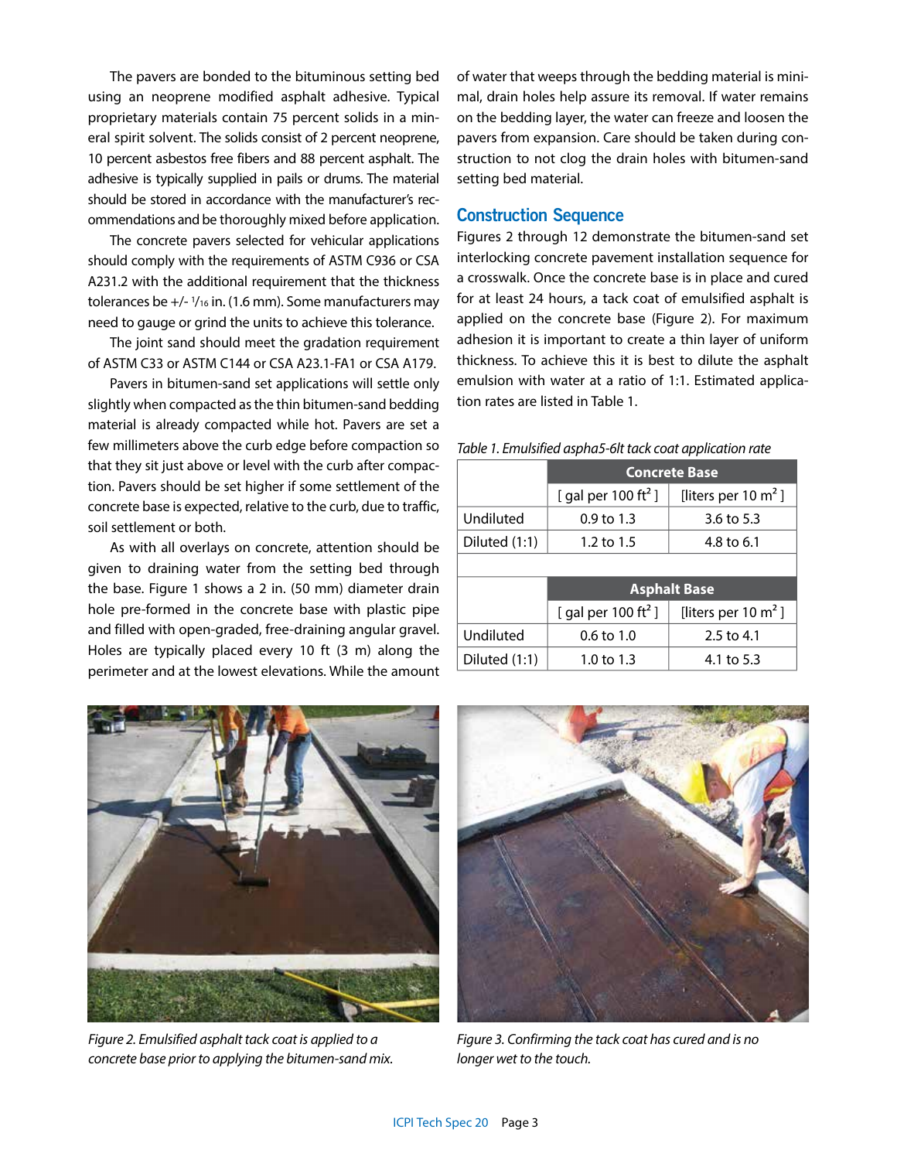The pavers are bonded to the bituminous setting bed using an neoprene modified asphalt adhesive. Typical proprietary materials contain 75 percent solids in a mineral spirit solvent. The solids consist of 2 percent neoprene, 10 percent asbestos free fibers and 88 percent asphalt. The adhesive is typically supplied in pails or drums. The material should be stored in accordance with the manufacturer's recommendations and be thoroughly mixed before application.

The concrete pavers selected for vehicular applications should comply with the requirements of ASTM C936 or CSA A231.2 with the additional requirement that the thickness tolerances be +/- 1 /16 in. (1.6 mm). Some manufacturers may need to gauge or grind the units to achieve this tolerance.

The joint sand should meet the gradation requirement of ASTM C33 or ASTM C144 or CSA A23.1-FA1 or CSA A179.

Pavers in bitumen-sand set applications will settle only slightly when compacted as the thin bitumen-sand bedding material is already compacted while hot. Pavers are set a few millimeters above the curb edge before compaction so that they sit just above or level with the curb after compaction. Pavers should be set higher if some settlement of the concrete base is expected, relative to the curb, due to traffic, soil settlement or both.

As with all overlays on concrete, attention should be given to draining water from the setting bed through the base. Figure 1 shows a 2 in. (50 mm) diameter drain hole pre-formed in the concrete base with plastic pipe and filled with open-graded, free-draining angular gravel. Holes are typically placed every 10 ft (3 m) along the perimeter and at the lowest elevations. While the amount of water that weeps through the bedding material is minimal, drain holes help assure its removal. If water remains on the bedding layer, the water can freeze and loosen the pavers from expansion. Care should be taken during construction to not clog the drain holes with bitumen-sand setting bed material.

## **Construction Sequence**

Figures 2 through 12 demonstrate the bitumen-sand set interlocking concrete pavement installation sequence for a crosswalk. Once the concrete base is in place and cured for at least 24 hours, a tack coat of emulsified asphalt is applied on the concrete base (Figure 2). For maximum adhesion it is important to create a thin layer of uniform thickness. To achieve this it is best to dilute the asphalt emulsion with water at a ratio of 1:1. Estimated application rates are listed in Table 1.

|               | <b>Concrete Base</b>            |                       |
|---------------|---------------------------------|-----------------------|
|               | [ gal per 100 ft <sup>2</sup> ] | [liters per 10 $m2$ ] |
| Undiluted     | $0.9 \text{ to } 1.3$           | 3.6 to $5.3$          |
| Diluted (1:1) | 1.2 to 1.5                      | 4.8 to 6.1            |
|               |                                 |                       |
|               | <b>Asphalt Base</b>             |                       |
|               | [ gal per 100 ft <sup>2</sup> ] | [liters per 10 $m2$ ] |
| Undiluted     | $0.6 \text{ to } 1.0$           | 2.5 to 4.1            |
| Diluted (1:1) | 1.0 to 1.3                      | 4.1 to 5.3            |

#### *Table 1. Emulsified aspha5-6lt tack coat application rate*



*Figure 2. Emulsified asphalt tack coat is applied to a concrete base prior to applying the bitumen-sand mix.*



*Figure 3. Confirming the tack coat has cured and is no longer wet to the touch.*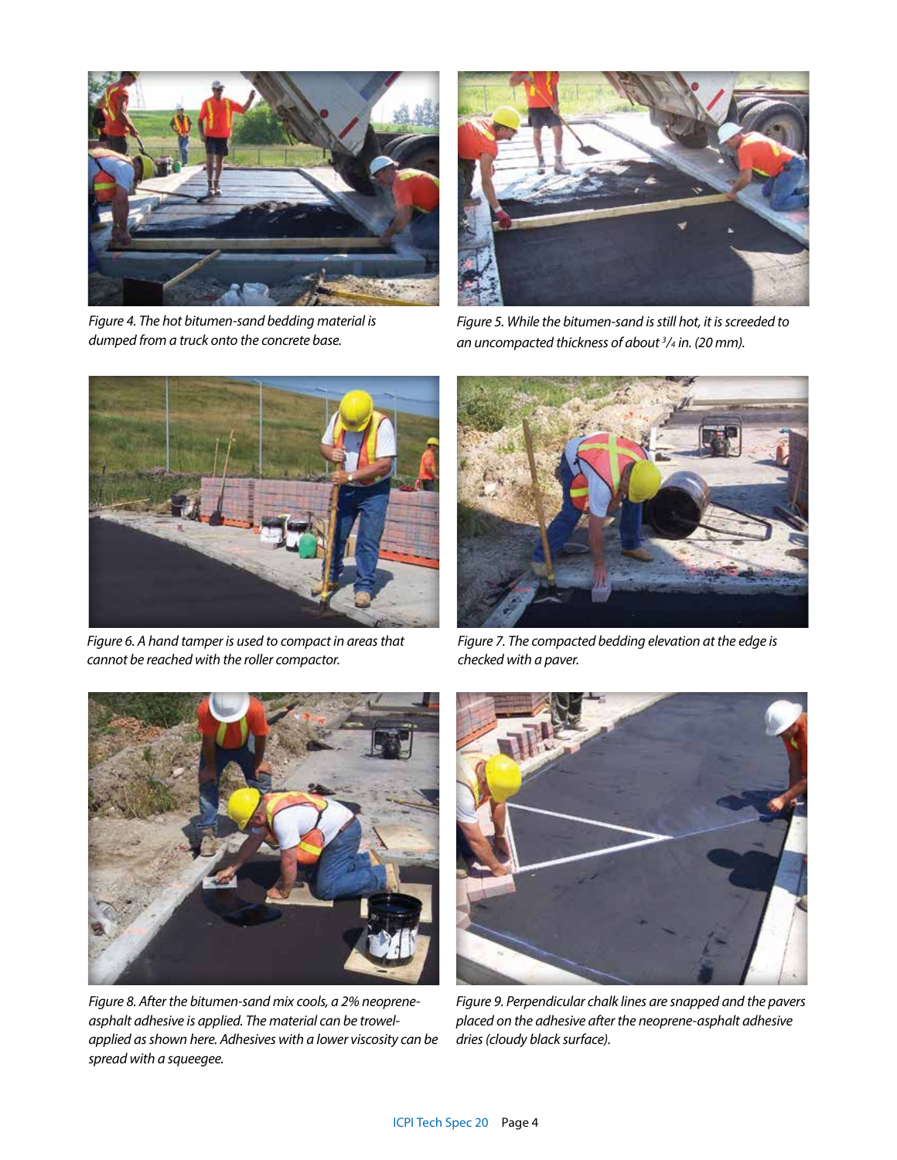

*Figure 4. The hot bitumen-sand bedding material is dumped from a truck onto the concrete base.*



*Figure 5. While the bitumen-sand is still hot, it is screeded to an uncompacted thickness of about 3 /4 in. (20 mm).*



*Figure 6. A hand tamper is used to compact in areas that cannot be reached with the roller compactor.*



*Figure 7. The compacted bedding elevation at the edge is checked with a paver.* 



*Figure 8. After the bitumen-sand mix cools, a 2% neopreneasphalt adhesive is applied. The material can be trowelapplied as shown here. Adhesives with a lower viscosity can be spread with a squeegee.*



*Figure 9. Perpendicular chalk lines are snapped and the pavers placed on the adhesive after the neoprene-asphalt adhesive dries (cloudy black surface).*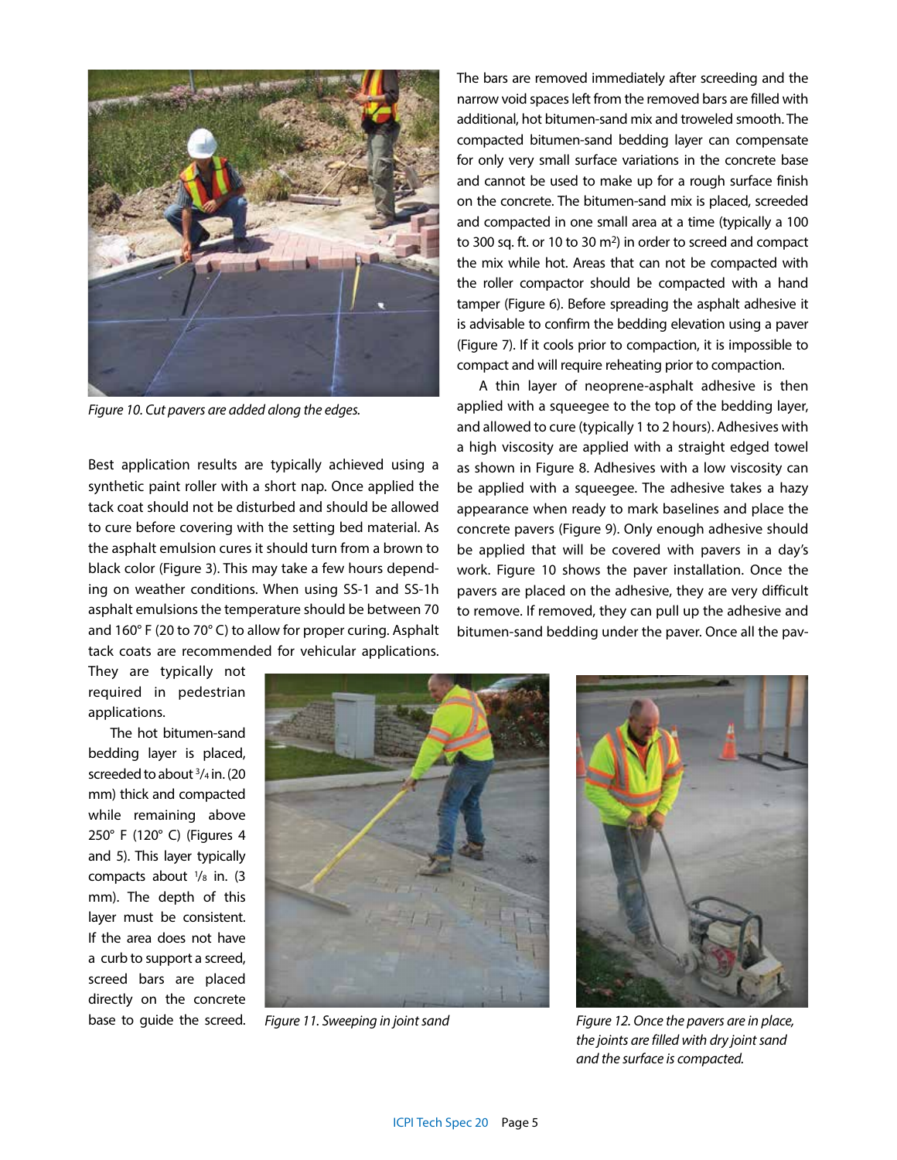

*Figure 10. Cut pavers are added along the edges.*

Best application results are typically achieved using a synthetic paint roller with a short nap. Once applied the tack coat should not be disturbed and should be allowed to cure before covering with the setting bed material. As the asphalt emulsion cures it should turn from a brown to black color (Figure 3). This may take a few hours depending on weather conditions. When using SS-1 and SS-1h asphalt emulsions the temperature should be between 70 and 160° F (20 to 70° C) to allow for proper curing. Asphalt tack coats are recommended for vehicular applications. The bars are removed immediately after screeding and the narrow void spaces left from the removed bars are filled with additional, hot bitumen-sand mix and troweled smooth. The compacted bitumen-sand bedding layer can compensate for only very small surface variations in the concrete base and cannot be used to make up for a rough surface finish on the concrete. The bitumen-sand mix is placed, screeded and compacted in one small area at a time (typically a 100 to 300 sq. ft. or 10 to 30 m<sup>2</sup>) in order to screed and compact the mix while hot. Areas that can not be compacted with the roller compactor should be compacted with a hand tamper (Figure 6). Before spreading the asphalt adhesive it is advisable to confirm the bedding elevation using a paver (Figure 7). If it cools prior to compaction, it is impossible to compact and will require reheating prior to compaction.

A thin layer of neoprene-asphalt adhesive is then applied with a squeegee to the top of the bedding layer, and allowed to cure (typically 1 to 2 hours). Adhesives with a high viscosity are applied with a straight edged towel as shown in Figure 8. Adhesives with a low viscosity can be applied with a squeegee. The adhesive takes a hazy appearance when ready to mark baselines and place the concrete pavers (Figure 9). Only enough adhesive should be applied that will be covered with pavers in a day's work. Figure 10 shows the paver installation. Once the pavers are placed on the adhesive, they are very difficult to remove. If removed, they can pull up the adhesive and bitumen-sand bedding under the paver. Once all the pav-

They are typically not required in pedestrian applications.

The hot bitumen-sand bedding layer is placed, screeded to about 3 /4 in. (20 mm) thick and compacted while remaining above 250° F (120° C) (Figures 4 and 5). This layer typically compacts about  $\frac{1}{8}$  in. (3) mm). The depth of this layer must be consistent. If the area does not have a curb to support a screed, screed bars are placed directly on the concrete



*Figure 11. Sweeping in joint sand*



base to guide the screed. *Figure 12. Once the pavers are in place, the joints are filled with dry joint sand and the surface is compacted.*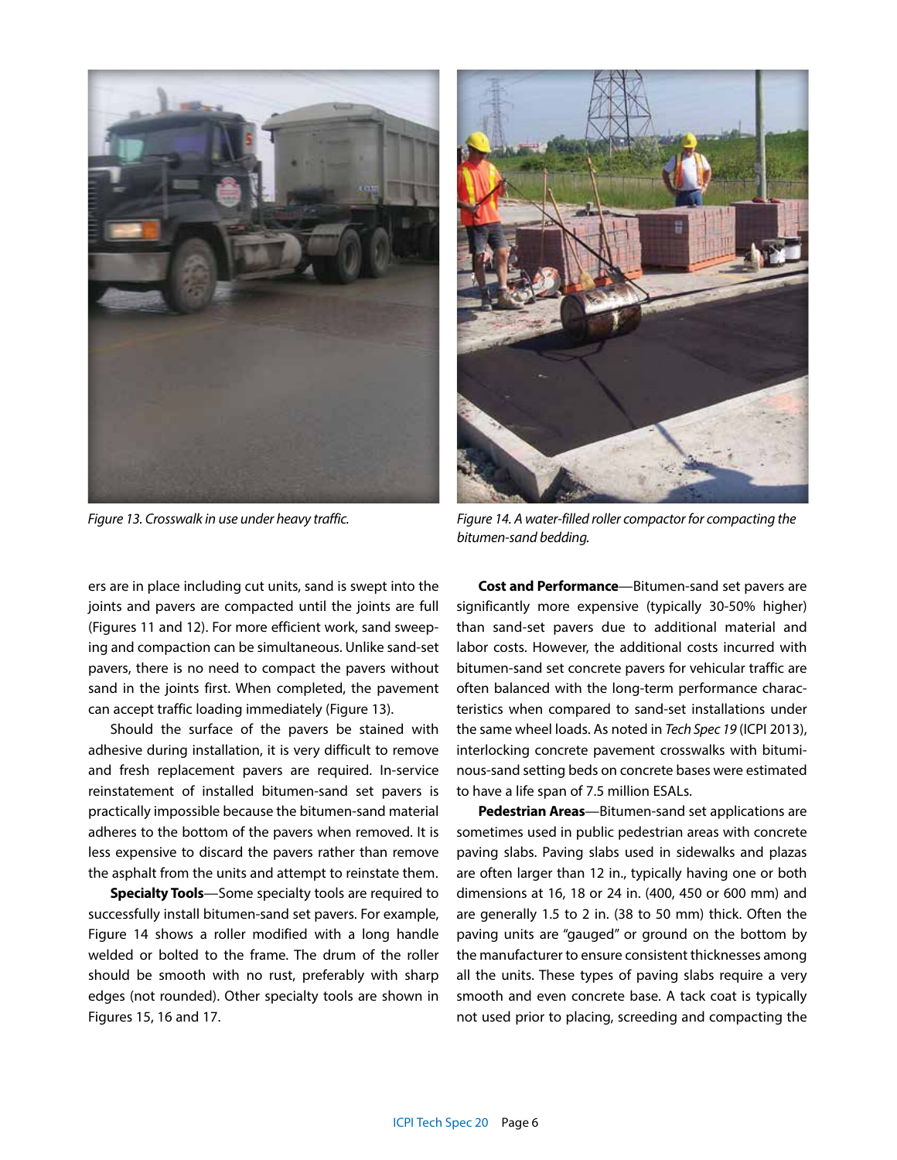

ers are in place including cut units, sand is swept into the joints and pavers are compacted until the joints are full (Figures 11 and 12). For more efficient work, sand sweeping and compaction can be simultaneous. Unlike sand-set pavers, there is no need to compact the pavers without sand in the joints first. When completed, the pavement can accept traffic loading immediately (Figure 13).

Should the surface of the pavers be stained with adhesive during installation, it is very difficult to remove and fresh replacement pavers are required. In-service reinstatement of installed bitumen-sand set pavers is practically impossible because the bitumen-sand material adheres to the bottom of the pavers when removed. It is less expensive to discard the pavers rather than remove the asphalt from the units and attempt to reinstate them.

**Specialty Tools**—Some specialty tools are required to successfully install bitumen-sand set pavers. For example, Figure 14 shows a roller modified with a long handle welded or bolted to the frame. The drum of the roller should be smooth with no rust, preferably with sharp edges (not rounded). Other specialty tools are shown in Figures 15, 16 and 17.



*Figure 13. Crosswalk in use under heavy traffic. Figure 14. A water-filled roller compactor for compacting the bitumen-sand bedding.*

**Cost and Performance**—Bitumen-sand set pavers are significantly more expensive (typically 30-50% higher) than sand-set pavers due to additional material and labor costs. However, the additional costs incurred with bitumen-sand set concrete pavers for vehicular traffic are often balanced with the long-term performance characteristics when compared to sand-set installations under the same wheel loads. As noted in *Tech Spec 19* (ICPI 2013), interlocking concrete pavement crosswalks with bituminous-sand setting beds on concrete bases were estimated to have a life span of 7.5 million ESALs.

**Pedestrian Areas**—Bitumen-sand set applications are sometimes used in public pedestrian areas with concrete paving slabs. Paving slabs used in sidewalks and plazas are often larger than 12 in., typically having one or both dimensions at 16, 18 or 24 in. (400, 450 or 600 mm) and are generally 1.5 to 2 in. (38 to 50 mm) thick. Often the paving units are "gauged" or ground on the bottom by the manufacturer to ensure consistent thicknesses among all the units. These types of paving slabs require a very smooth and even concrete base. A tack coat is typically not used prior to placing, screeding and compacting the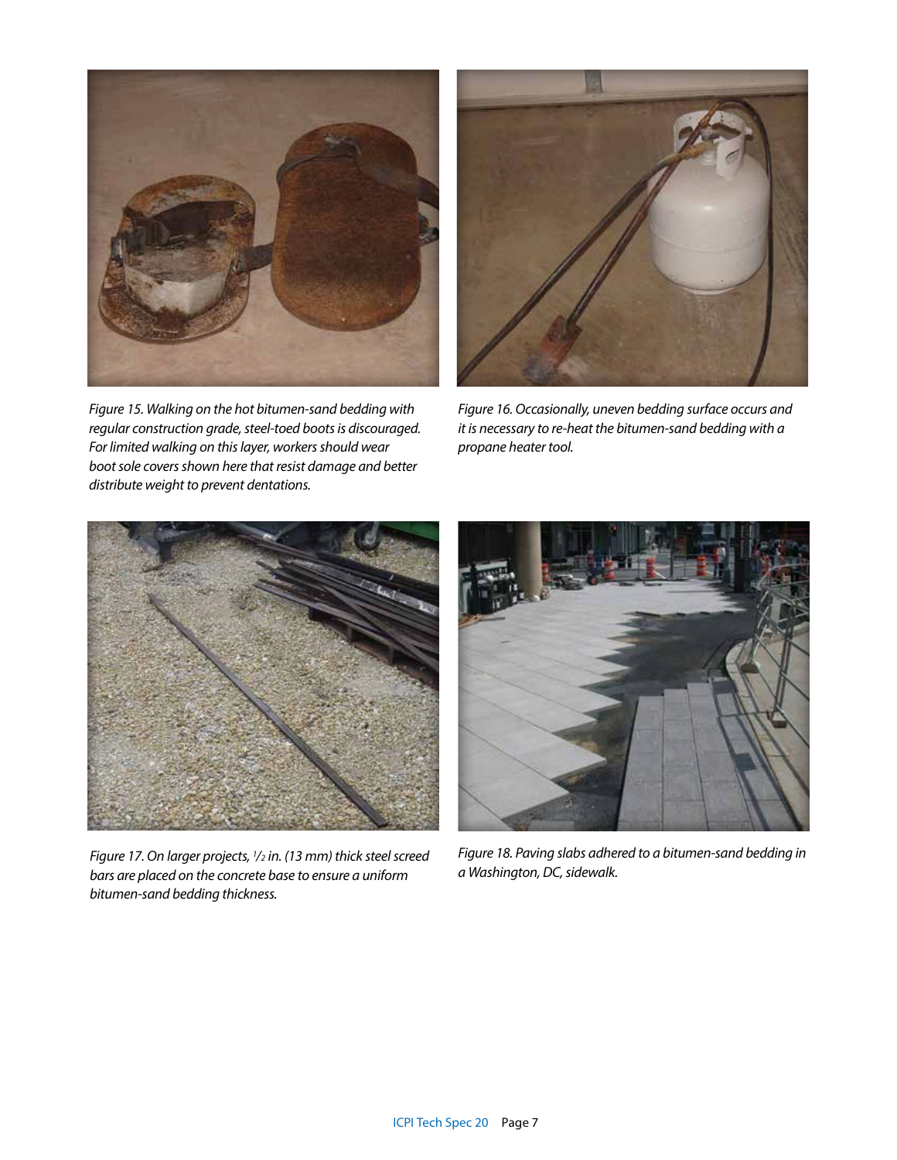

*Figure 15. Walking on the hot bitumen-sand bedding with regular construction grade, steel-toed boots is discouraged. For limited walking on this layer, workers should wear boot sole covers shown here that resist damage and better distribute weight to prevent dentations.*



*Figure 16. Occasionally, uneven bedding surface occurs and it is necessary to re-heat the bitumen-sand bedding with a propane heater tool.*



*Figure 17. On larger projects, 1 /2 in. (13 mm) thick steel screed bars are placed on the concrete base to ensure a uniform bitumen-sand bedding thickness.*



*Figure 18. Paving slabs adhered to a bitumen-sand bedding in a Washington, DC, sidewalk.*